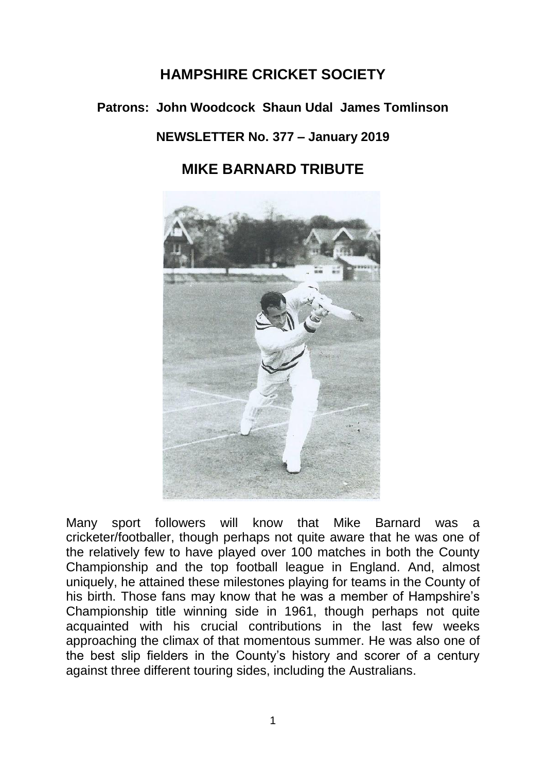# **HAMPSHIRE CRICKET SOCIETY**

## **Patrons: John Woodcock Shaun Udal James Tomlinson**

## **NEWSLETTER No. 377 – January 2019**

## **MIKE BARNARD TRIBUTE**



Many sport followers will know that Mike Barnard was a cricketer/footballer, though perhaps not quite aware that he was one of the relatively few to have played over 100 matches in both the County Championship and the top football league in England. And, almost uniquely, he attained these milestones playing for teams in the County of his birth. Those fans may know that he was a member of Hampshire's Championship title winning side in 1961, though perhaps not quite acquainted with his crucial contributions in the last few weeks approaching the climax of that momentous summer. He was also one of the best slip fielders in the County's history and scorer of a century against three different touring sides, including the Australians.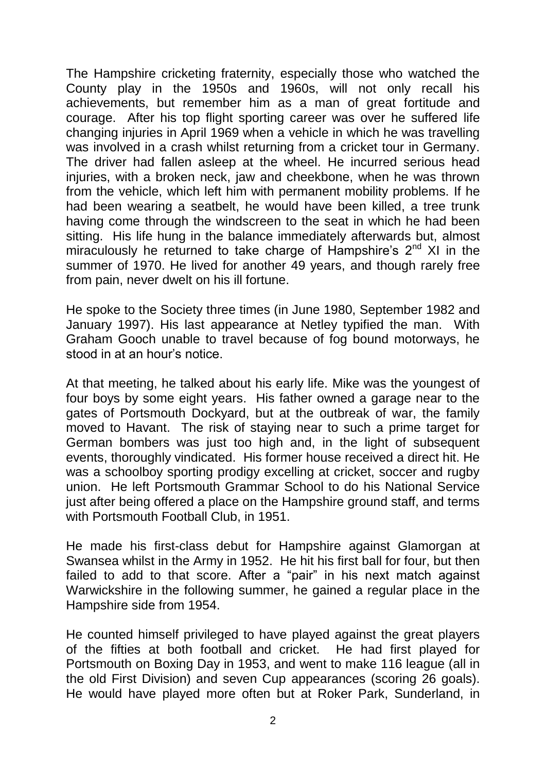The Hampshire cricketing fraternity, especially those who watched the County play in the 1950s and 1960s, will not only recall his achievements, but remember him as a man of great fortitude and courage. After his top flight sporting career was over he suffered life changing injuries in April 1969 when a vehicle in which he was travelling was involved in a crash whilst returning from a cricket tour in Germany. The driver had fallen asleep at the wheel. He incurred serious head injuries, with a broken neck, jaw and cheekbone, when he was thrown from the vehicle, which left him with permanent mobility problems. If he had been wearing a seatbelt, he would have been killed, a tree trunk having come through the windscreen to the seat in which he had been sitting. His life hung in the balance immediately afterwards but, almost miraculously he returned to take charge of Hampshire's  $2<sup>nd</sup>$  XI in the summer of 1970. He lived for another 49 years, and though rarely free from pain, never dwelt on his ill fortune.

He spoke to the Society three times (in June 1980, September 1982 and January 1997). His last appearance at Netley typified the man. With Graham Gooch unable to travel because of fog bound motorways, he stood in at an hour's notice.

At that meeting, he talked about his early life. Mike was the youngest of four boys by some eight years. His father owned a garage near to the gates of Portsmouth Dockyard, but at the outbreak of war, the family moved to Havant. The risk of staying near to such a prime target for German bombers was just too high and, in the light of subsequent events, thoroughly vindicated. His former house received a direct hit. He was a schoolboy sporting prodigy excelling at cricket, soccer and rugby union. He left Portsmouth Grammar School to do his National Service just after being offered a place on the Hampshire ground staff, and terms with Portsmouth Football Club, in 1951.

He made his first-class debut for Hampshire against Glamorgan at Swansea whilst in the Army in 1952. He hit his first ball for four, but then failed to add to that score. After a "pair" in his next match against Warwickshire in the following summer, he gained a regular place in the Hampshire side from 1954.

He counted himself privileged to have played against the great players of the fifties at both football and cricket. He had first played for Portsmouth on Boxing Day in 1953, and went to make 116 league (all in the old First Division) and seven Cup appearances (scoring 26 goals). He would have played more often but at Roker Park, Sunderland, in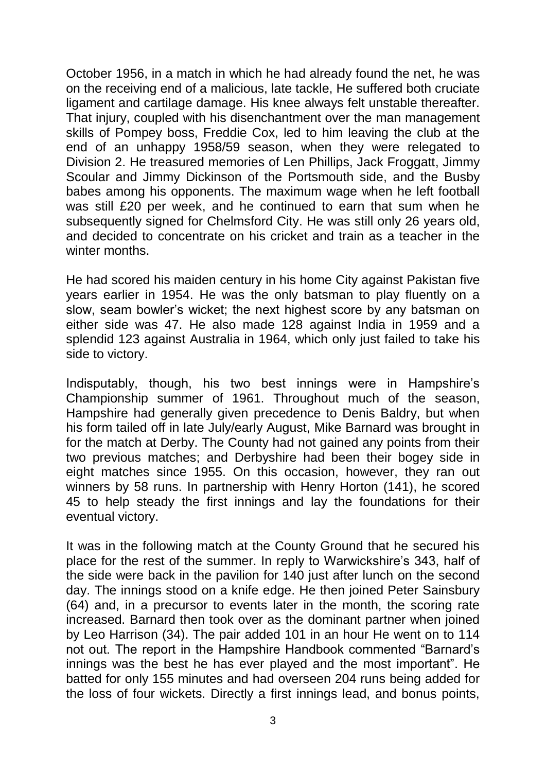October 1956, in a match in which he had already found the net, he was on the receiving end of a malicious, late tackle, He suffered both cruciate ligament and cartilage damage. His knee always felt unstable thereafter. That injury, coupled with his disenchantment over the man management skills of Pompey boss, Freddie Cox, led to him leaving the club at the end of an unhappy 1958/59 season, when they were relegated to Division 2. He treasured memories of Len Phillips, Jack Froggatt, Jimmy Scoular and Jimmy Dickinson of the Portsmouth side, and the Busby babes among his opponents. The maximum wage when he left football was still £20 per week, and he continued to earn that sum when he subsequently signed for Chelmsford City. He was still only 26 years old, and decided to concentrate on his cricket and train as a teacher in the winter months.

He had scored his maiden century in his home City against Pakistan five years earlier in 1954. He was the only batsman to play fluently on a slow, seam bowler's wicket; the next highest score by any batsman on either side was 47. He also made 128 against India in 1959 and a splendid 123 against Australia in 1964, which only just failed to take his side to victory.

Indisputably, though, his two best innings were in Hampshire's Championship summer of 1961. Throughout much of the season, Hampshire had generally given precedence to Denis Baldry, but when his form tailed off in late July/early August, Mike Barnard was brought in for the match at Derby. The County had not gained any points from their two previous matches; and Derbyshire had been their bogey side in eight matches since 1955. On this occasion, however, they ran out winners by 58 runs. In partnership with Henry Horton (141), he scored 45 to help steady the first innings and lay the foundations for their eventual victory.

It was in the following match at the County Ground that he secured his place for the rest of the summer. In reply to Warwickshire's 343, half of the side were back in the pavilion for 140 just after lunch on the second day. The innings stood on a knife edge. He then joined Peter Sainsbury (64) and, in a precursor to events later in the month, the scoring rate increased. Barnard then took over as the dominant partner when joined by Leo Harrison (34). The pair added 101 in an hour He went on to 114 not out. The report in the Hampshire Handbook commented "Barnard's innings was the best he has ever played and the most important". He batted for only 155 minutes and had overseen 204 runs being added for the loss of four wickets. Directly a first innings lead, and bonus points,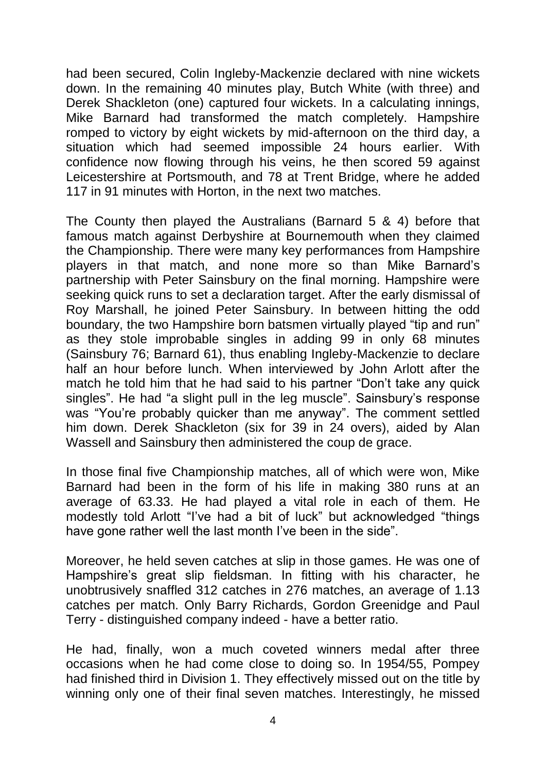had been secured, Colin Ingleby-Mackenzie declared with nine wickets down. In the remaining 40 minutes play, Butch White (with three) and Derek Shackleton (one) captured four wickets. In a calculating innings, Mike Barnard had transformed the match completely. Hampshire romped to victory by eight wickets by mid-afternoon on the third day, a situation which had seemed impossible 24 hours earlier. With confidence now flowing through his veins, he then scored 59 against Leicestershire at Portsmouth, and 78 at Trent Bridge, where he added 117 in 91 minutes with Horton, in the next two matches.

The County then played the Australians (Barnard 5 & 4) before that famous match against Derbyshire at Bournemouth when they claimed the Championship. There were many key performances from Hampshire players in that match, and none more so than Mike Barnard's partnership with Peter Sainsbury on the final morning. Hampshire were seeking quick runs to set a declaration target. After the early dismissal of Roy Marshall, he joined Peter Sainsbury. In between hitting the odd boundary, the two Hampshire born batsmen virtually played "tip and run" as they stole improbable singles in adding 99 in only 68 minutes (Sainsbury 76; Barnard 61), thus enabling Ingleby-Mackenzie to declare half an hour before lunch. When interviewed by John Arlott after the match he told him that he had said to his partner "Don't take any quick singles". He had "a slight pull in the leg muscle". Sainsbury's response was "You're probably quicker than me anyway". The comment settled him down. Derek Shackleton (six for 39 in 24 overs), aided by Alan Wassell and Sainsbury then administered the coup de grace.

In those final five Championship matches, all of which were won, Mike Barnard had been in the form of his life in making 380 runs at an average of 63.33. He had played a vital role in each of them. He modestly told Arlott "I've had a bit of luck" but acknowledged "things have gone rather well the last month I've been in the side".

Moreover, he held seven catches at slip in those games. He was one of Hampshire's great slip fieldsman. In fitting with his character, he unobtrusively snaffled 312 catches in 276 matches, an average of 1.13 catches per match. Only Barry Richards, Gordon Greenidge and Paul Terry - distinguished company indeed - have a better ratio.

He had, finally, won a much coveted winners medal after three occasions when he had come close to doing so. In 1954/55, Pompey had finished third in Division 1. They effectively missed out on the title by winning only one of their final seven matches. Interestingly, he missed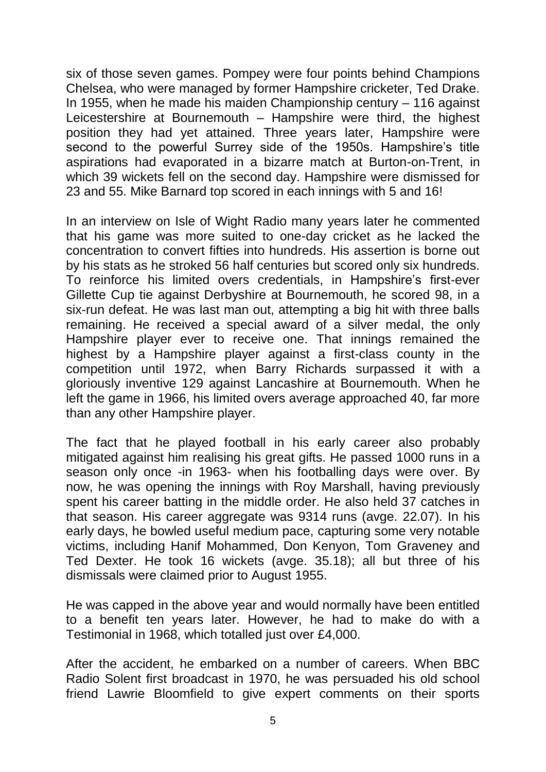six of those seven games. Pompey were four points behind Champions Chelsea, who were managed by former Hampshire cricketer, Ted Drake. In 1955, when he made his maiden Championship century – 116 against Leicestershire at Bournemouth – Hampshire were third, the highest position they had yet attained. Three years later, Hampshire were second to the powerful Surrey side of the 1950s. Hampshire's title aspirations had evaporated in a bizarre match at Burton-on-Trent, in which 39 wickets fell on the second day. Hampshire were dismissed for 23 and 55. Mike Barnard top scored in each innings with 5 and 16!

In an interview on Isle of Wight Radio many years later he commented that his game was more suited to one-day cricket as he lacked the concentration to convert fifties into hundreds. His assertion is borne out by his stats as he stroked 56 half centuries but scored only six hundreds. To reinforce his limited overs credentials, in Hampshire's first-ever Gillette Cup tie against Derbyshire at Bournemouth, he scored 98, in a six-run defeat. He was last man out, attempting a big hit with three balls remaining. He received a special award of a silver medal, the only Hampshire player ever to receive one. That innings remained the highest by a Hampshire player against a first-class county in the competition until 1972, when Barry Richards surpassed it with a gloriously inventive 129 against Lancashire at Bournemouth. When he left the game in 1966, his limited overs average approached 40, far more than any other Hampshire player.

The fact that he played football in his early career also probably mitigated against him realising his great gifts. He passed 1000 runs in a season only once -in 1963- when his footballing days were over. By now, he was opening the innings with Roy Marshall, having previously spent his career batting in the middle order. He also held 37 catches in that season. His career aggregate was 9314 runs (avge. 22.07). In his early days, he bowled useful medium pace, capturing some very notable victims, including Hanif Mohammed, Don Kenyon, Tom Graveney and Ted Dexter. He took 16 wickets (avge. 35.18); all but three of his dismissals were claimed prior to August 1955.

He was capped in the above year and would normally have been entitled to a benefit ten years later. However, he had to make do with a Testimonial in 1968, which totalled just over £4,000.

After the accident, he embarked on a number of careers. When BBC Radio Solent first broadcast in 1970, he was persuaded his old school friend Lawrie Bloomfield to give expert comments on their sports